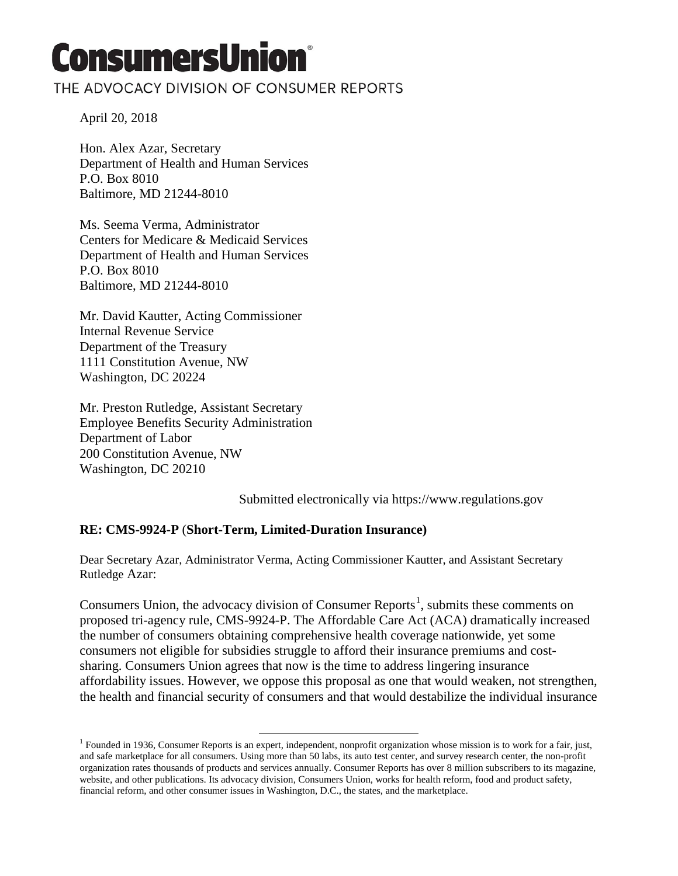# **ConsumersUnion®**

## THE ADVOCACY DIVISION OF CONSUMER REPORTS

April 20, 2018

Hon. Alex Azar, Secretary Department of Health and Human Services P.O. Box 8010 Baltimore, MD 21244-8010

Ms. Seema Verma, Administrator Centers for Medicare & Medicaid Services Department of Health and Human Services P.O. Box 8010 Baltimore, MD 21244-8010

Mr. David Kautter, Acting Commissioner Internal Revenue Service Department of the Treasury 1111 Constitution Avenue, NW Washington, DC 20224

Mr. Preston Rutledge, Assistant Secretary Employee Benefits Security Administration Department of Labor 200 Constitution Avenue, NW Washington, DC 20210

Submitted electronically via https://www.regulations.gov

#### **RE: CMS-9924-P** (**Short-Term, Limited-Duration Insurance)**

 $\overline{\phantom{a}}$ 

Dear Secretary Azar, Administrator Verma, Acting Commissioner Kautter, and Assistant Secretary Rutledge Azar:

Consumers Union, the advocacy division of Consumer Reports<sup>[1](#page-0-0)</sup>, submits these comments on proposed tri-agency rule, CMS-9924-P. The Affordable Care Act (ACA) dramatically increased the number of consumers obtaining comprehensive health coverage nationwide, yet some consumers not eligible for subsidies struggle to afford their insurance premiums and costsharing. Consumers Union agrees that now is the time to address lingering insurance affordability issues. However, we oppose this proposal as one that would weaken, not strengthen, the health and financial security of consumers and that would destabilize the individual insurance

<span id="page-0-0"></span><sup>&</sup>lt;sup>1</sup> Founded in 1936, Consumer Reports is an expert, independent, nonprofit organization whose mission is to work for a fair, just, and safe marketplace for all consumers. Using more than 50 labs, its auto test center, and survey research center, the non-profit organization rates thousands of products and services annually. Consumer Reports has over 8 million subscribers to its magazine, website, and other publications. Its advocacy division, Consumers Union, works for health reform, food and product safety, financial reform, and other consumer issues in Washington, D.C., the states, and the marketplace.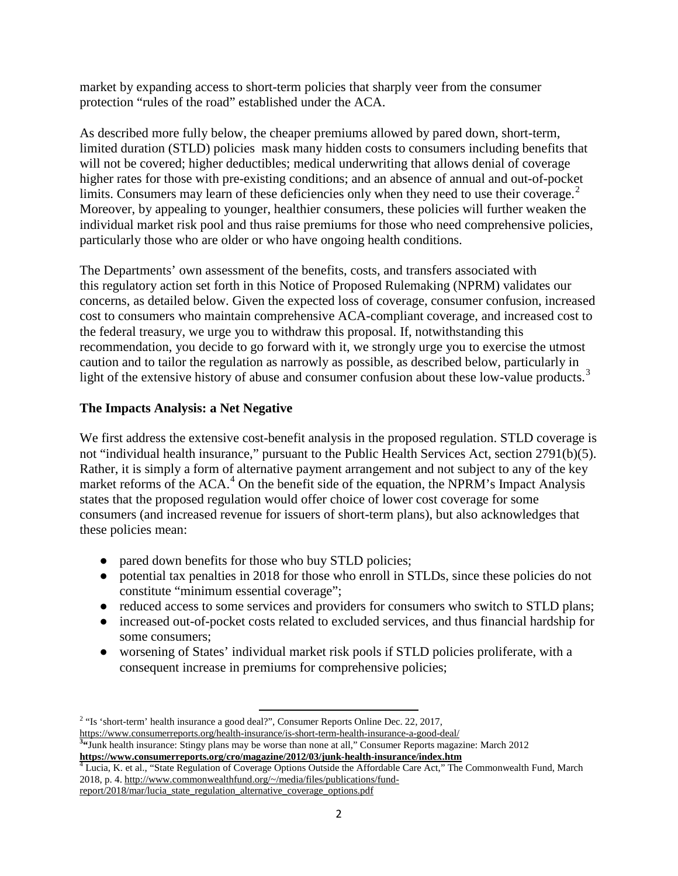market by expanding access to short-term policies that sharply veer from the consumer protection "rules of the road" established under the ACA.

As described more fully below, the cheaper premiums allowed by pared down, short-term, limited duration (STLD) policies mask many hidden costs to consumers including benefits that will not be covered; higher deductibles; medical underwriting that allows denial of coverage higher rates for those with pre-existing conditions; and an absence of annual and out-of-pocket limits. Consumers may learn of these deficiencies only when they need to use their coverage. $2$ Moreover, by appealing to younger, healthier consumers, these policies will further weaken the individual market risk pool and thus raise premiums for those who need comprehensive policies, particularly those who are older or who have ongoing health conditions.

The Departments' own assessment of the benefits, costs, and transfers associated with this regulatory action set forth in this Notice of Proposed Rulemaking (NPRM) validates our concerns, as detailed below. Given the expected loss of coverage, consumer confusion, increased cost to consumers who maintain comprehensive ACA-compliant coverage, and increased cost to the federal treasury, we urge you to withdraw this proposal. If, notwithstanding this recommendation, you decide to go forward with it, we strongly urge you to exercise the utmost caution and to tailor the regulation as narrowly as possible, as described below, particularly in light of the extensive history of abuse and consumer confusion about these low-value products.<sup>[3](#page-1-1)</sup>

#### **The Impacts Analysis: a Net Negative**

We first address the extensive cost-benefit analysis in the proposed regulation. STLD coverage is not "individual health insurance," pursuant to the Public Health Services Act, section 2791(b)(5). Rather, it is simply a form of alternative payment arrangement and not subject to any of the key market reforms of the  $ACA<sup>4</sup>$  $ACA<sup>4</sup>$  $ACA<sup>4</sup>$  On the benefit side of the equation, the NPRM's Impact Analysis states that the proposed regulation would offer choice of lower cost coverage for some consumers (and increased revenue for issuers of short-term plans), but also acknowledges that these policies mean:

- pared down benefits for those who buy STLD policies;
- potential tax penalties in 2018 for those who enroll in STLDs, since these policies do not constitute "minimum essential coverage";
- reduced access to some services and providers for consumers who switch to STLD plans;
- increased out-of-pocket costs related to excluded services, and thus financial hardship for some consumers;
- worsening of States' individual market risk pools if STLD policies proliferate, with a consequent increase in premiums for comprehensive policies;

 $\overline{\phantom{a}}$ 

<span id="page-1-0"></span><sup>&</sup>lt;sup>2</sup> "Is 'short-term' health insurance a good deal?", Consumer Reports Online Dec. 22, 2017, <https://www.consumerreports.org/health-insurance/is-short-term-health-insurance-a-good-deal/> **<sup>3</sup> "**Junk health insurance: Stingy plans may be worse than none at all," Consumer Reports magazine: March 2012

<span id="page-1-1"></span>**<https://www.consumerreports.org/cro/magazine/2012/03/junk-health-insurance/index.htm>** <sup>4</sup> Lucia, K. et al., "State Regulation of Coverage Options Outside the Affordable Care Act," The Commonwealth Fund, March

<span id="page-1-2"></span><sup>2018,</sup> p. 4[. http://www.commonwealthfund.org/~/media/files/publications/fund-](http://www.commonwealthfund.org/%7E/media/files/publications/fund-report/2018/mar/lucia_state_regulation_alternative_coverage_options.pdf)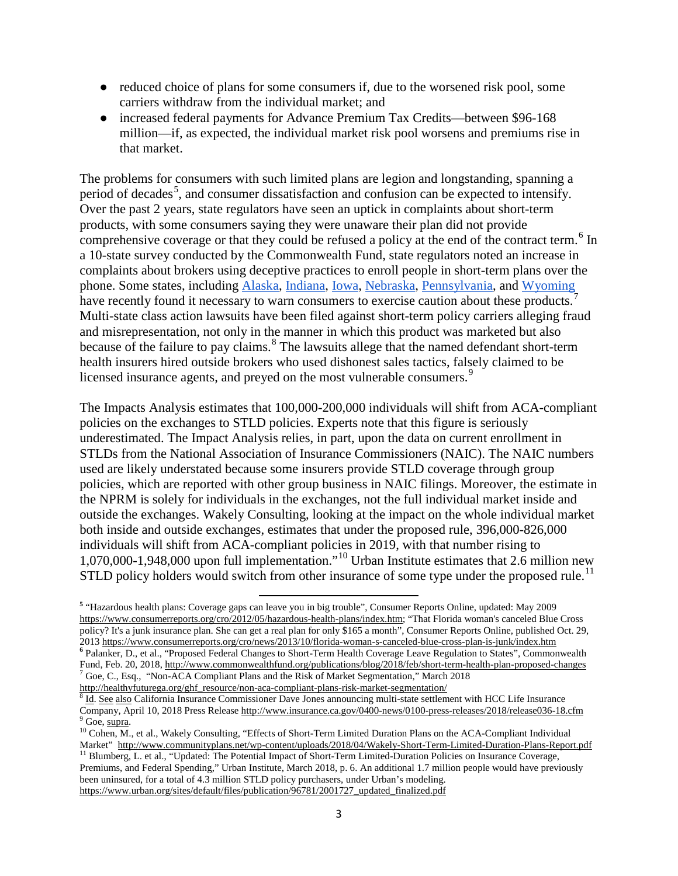- reduced choice of plans for some consumers if, due to the worsened risk pool, some carriers withdraw from the individual market; and
- increased federal payments for Advance Premium Tax Credits—between \$96-168 million—if, as expected, the individual market risk pool worsens and premiums rise in that market.

The problems for consumers with such limited plans are legion and longstanding, spanning a period of decades<sup>[5](#page-2-0)</sup>, and consumer dissatisfaction and confusion can be expected to intensify. Over the past 2 years, state regulators have seen an uptick in complaints about short-term products, with some consumers saying they were unaware their plan did not provide comprehensive coverage or that they could be refused a policy at the end of the contract term.<sup>[6](#page-2-1)</sup> In a 10-state survey conducted by the Commonwealth Fund, state regulators noted an increase in complaints about brokers using deceptive practices to enroll people in short-term plans over the phone. Some states, including [Alaska,](https://www.commerce.alaska.gov/web/ins/Consumers/Health/2018Enrollment.aspx) [Indiana,](http://www.in.gov/activecalendar/EventList.aspx?view=EventDetails&eventidn=245027&information_id=241062&type=&syndicate=syndicate) [Iowa,](https://iid.iowa.gov/press-releases/consumer-alert-final-tips-as-aca-open-enrollment-period-ends-december-15) [Nebraska,](http://www.omaha.com/livewellnebraska/health/iowa-official-warns-against-substandard-health-insurance-plans-that-could/article_47e8cc72-df90-11e7-86ab-8b9b75030f12.html%20target=) [Pennsylvania,](http://www.media.pa.gov/Pages/Insurance-Details.aspx?newsid=283) and [Wyoming](http://www.kgwn.tv/home/headlines/Wyoming-residents-asked-to-be-vigilant-against-health-insurance-callers-374007641.html?ref=641) have recently found it necessary to warn consumers to exercise caution about these products.<sup>[7](#page-2-2)</sup> Multi-state class action lawsuits have been filed against short-term policy carriers alleging fraud and misrepresentation, not only in the manner in which this product was marketed but also because of the failure to pay claims.<sup>[8](#page-2-3)</sup> The lawsuits allege that the named defendant short-term health insurers hired outside brokers who used dishonest sales tactics, falsely claimed to be licensed insurance agents, and preyed on the most vulnerable consumers.<sup>[9](#page-2-4)</sup>

The Impacts Analysis estimates that 100,000-200,000 individuals will shift from ACA-compliant policies on the exchanges to STLD policies. Experts note that this figure is seriously underestimated. The Impact Analysis relies, in part, upon the data on current enrollment in STLDs from the National Association of Insurance Commissioners (NAIC). The NAIC numbers used are likely understated because some insurers provide STLD coverage through group policies, which are reported with other group business in NAIC filings. Moreover, the estimate in the NPRM is solely for individuals in the exchanges, not the full individual market inside and outside the exchanges. Wakely Consulting, looking at the impact on the whole individual market both inside and outside exchanges, estimates that under the proposed rule, 396,000-826,000 individuals will shift from ACA-compliant policies in 2019, with that number rising to 1,070,000-1,948,000 upon full implementation."[10](#page-2-5) Urban Institute estimates that 2.6 million new STLD policy holders would switch from other insurance of some type under the proposed rule.<sup>[11](#page-2-6)</sup>

<span id="page-2-0"></span> $\overline{\phantom{a}}$ **<sup>5</sup>** "Hazardous health plans: Coverage gaps can leave you in big trouble", Consumer Reports Online, updated: May 2009 [https://www.consumerreports.org/cro/2012/05/hazardous-health-plans/index.htm;](https://www.consumerreports.org/cro/2012/05/hazardous-health-plans/index.htm) "That Florida woman's canceled Blue Cross policy? It's a junk insurance plan. She can get a real plan for only \$165 a month", Consumer Reports Online, published Oct. 29, 201[3 https://www.consumerreports.org/cro/news/2013/10/florida-woman-s-canceled-blue-cross-plan-is-junk/index.htm](https://www.consumerreports.org/cro/news/2013/10/florida-woman-s-canceled-blue-cross-plan-is-junk/index.htm) <sup>6</sup> Palanker, D., et al., "Proposed Federal Changes to Short-Term Health Coverage Leave Regulation to States" Fund, Feb. 20, 2018,<http://www.commonwealthfund.org/publications/blog/2018/feb/short-term-health-plan-proposed-changes> <sup>7</sup> Goe, C., Esq., "Non-ACA Compliant Plans and the Risk of Market Segmentation," March 2018

<span id="page-2-2"></span><span id="page-2-1"></span>

<span id="page-2-3"></span>[http://healthyfuturega.org/ghf\\_resource/non-aca-compliant-plans-risk-market-segmentation/](http://healthyfuturega.org/ghf_resource/non-aca-compliant-plans-risk-market-segmentation/)<br>
<sup>8</sup> Id. See also California Insurance Commissioner Dave Jones announcing multi-state settlement with HCC Life Insurance<br>
Company, A

<span id="page-2-5"></span><span id="page-2-4"></span><sup>&</sup>lt;sup>9</sup> Goe, <u>supra</u>.<br><sup>10</sup> Cohen, M., et al., Wakely Consulting, "Effects of Short-Term Limited Duration Plans on the ACA-Compliant Individual Market"<http://www.communityplans.net/wp-content/uploads/2018/04/Wakely-Short-Term-Limited-Duration-Plans-Report.pdf> <sup>11</sup> Blumberg, L. et al., "Updated: The Potential Impact of Short-Term Limited-Duration Policies on Insur

<span id="page-2-6"></span>Premiums, and Federal Spending," Urban Institute, March 2018, p. 6. An additional 1.7 million people would have previously been uninsured, for a total of 4.3 million STLD policy purchasers, under Urban's modeling. [https://www.urban.org/sites/default/files/publication/96781/2001727\\_updated\\_finalized.pdf](https://www.urban.org/sites/default/files/publication/96781/2001727_updated_finalized.pdf)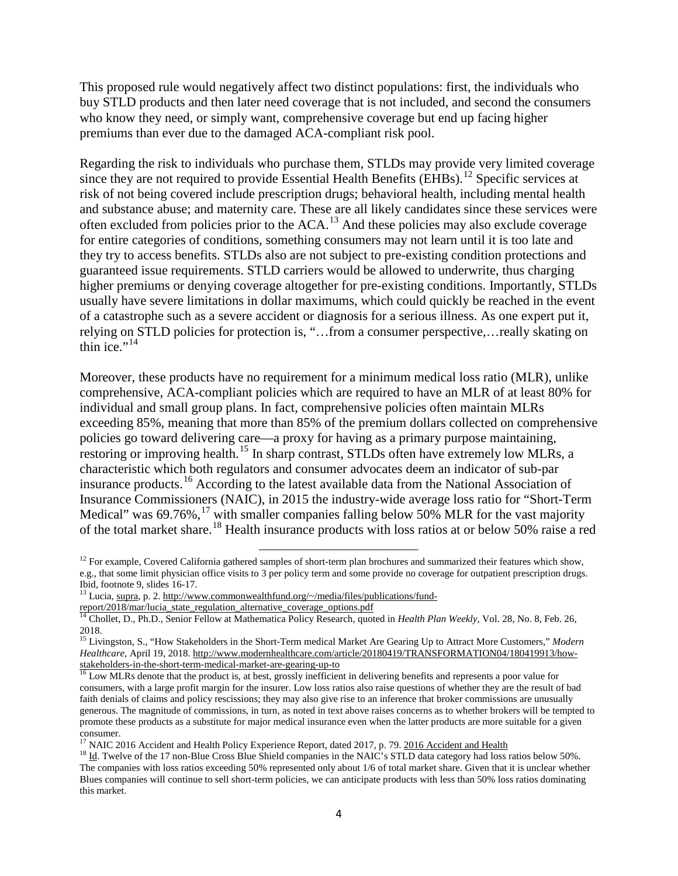This proposed rule would negatively affect two distinct populations: first, the individuals who buy STLD products and then later need coverage that is not included, and second the consumers who know they need, or simply want, comprehensive coverage but end up facing higher premiums than ever due to the damaged ACA-compliant risk pool.

Regarding the risk to individuals who purchase them, STLDs may provide very limited coverage since they are not required to provide Essential Health Benefits  $\overrightarrow{E}$  (EHBs).<sup>[12](#page-3-0)</sup> Specific services at risk of not being covered include prescription drugs; behavioral health, including mental health and substance abuse; and maternity care. These are all likely candidates since these services were often excluded from policies prior to the ACA.[13](#page-3-1) And these policies may also exclude coverage for entire categories of conditions, something consumers may not learn until it is too late and they try to access benefits. STLDs also are not subject to pre-existing condition protections and guaranteed issue requirements. STLD carriers would be allowed to underwrite, thus charging higher premiums or denying coverage altogether for pre-existing conditions. Importantly, STLDs usually have severe limitations in dollar maximums, which could quickly be reached in the event of a catastrophe such as a severe accident or diagnosis for a serious illness. As one expert put it, relying on STLD policies for protection is, "…from a consumer perspective,…really skating on thin ice." $14$ 

Moreover, these products have no requirement for a minimum medical loss ratio (MLR), unlike comprehensive, ACA-compliant policies which are required to have an MLR of at least 80% for individual and small group plans. In fact, comprehensive policies often maintain MLRs exceeding 85%, meaning that more than 85% of the premium dollars collected on comprehensive policies go toward delivering care—a proxy for having as a primary purpose maintaining, restoring or improving health.<sup>[15](#page-3-3)</sup> In sharp contrast, STLDs often have extremely low MLRs, a characteristic which both regulators and consumer advocates deem an indicator of sub-par insurance products.[16](#page-3-4) According to the latest available data from the National Association of Insurance Commissioners (NAIC), in 2015 the industry-wide average loss ratio for "Short-Term Medical" was  $69.76\%,$ <sup>[17](#page-3-5)</sup> with smaller companies falling below 50% MLR for the vast majority of the total market share.<sup>[18](#page-3-6)</sup> Health insurance products with loss ratios at or below 50% raise a red

l

<span id="page-3-0"></span> $12$  For example, Covered California gathered samples of short-term plan brochures and summarized their features which show, e.g., that some limit physician office visits to 3 per policy term and some provide no coverage for outpatient prescription drugs.

<span id="page-3-1"></span><sup>&</sup>lt;sup>13</sup> Lucia, supra, p. 2[. http://www.commonwealthfund.org/~/media/files/publications/fund-](http://www.commonwealthfund.org/%7E/media/files/publications/fund-report/2018/mar/lucia_state_regulation_alternative_coverage_options.pdf)

[report/2018/mar/lucia\\_state\\_regulation\\_alternative\\_coverage\\_options.pdf](http://www.commonwealthfund.org/%7E/media/files/publications/fund-report/2018/mar/lucia_state_regulation_alternative_coverage_options.pdf)

<span id="page-3-2"></span><sup>14</sup> Chollet, D., Ph.D., Senior Fellow at Mathematica Policy Research, quoted in *Health Plan Weekly*, Vol. 28, No. 8, Feb. 26, 2018.

<span id="page-3-3"></span><sup>15</sup> Livingston, S., "How Stakeholders in the Short-Term medical Market Are Gearing Up to Attract More Customers," *Modern Healthcare*, April 19, 2018. http://www.modernhealthcare.com/article/20180419/TRANSFORMATION04/180419913/how-<br>stakeholders-in-the-short-term-medical-market-are-gearing-up-to

<span id="page-3-4"></span> $\frac{16}{16}$  Low MLRs denote that the product is, at best, grossly inefficient in delivering benefits and represents a poor value for consumers, with a large profit margin for the insurer. Low loss ratios also raise questions of whether they are the result of bad faith denials of claims and policy rescissions; they may also give rise to an inference that broker commissions are unusually generous. The magnitude of commissions, in turn, as noted in text above raises concerns as to whether brokers will be tempted to promote these products as a substitute for major medical insurance even when the latter products are more suitable for a given consumer.<br><sup>17</sup> NAIC 2016 Accident and Health Policy Experience Report, dated 2017, p. 79. 2016 Accident and Health

<span id="page-3-5"></span>

<span id="page-3-6"></span> $18$  Id. Twelve of the 17 non-Blue Cross Blue Shield companies in the NAIC's STLD data category had loss ratios below 50%. The companies with loss ratios exceeding 50% represented only about 1/6 of total market share. Given that it is unclear whether Blues companies will continue to sell short-term policies, we can anticipate products with less than 50% loss ratios dominating this market.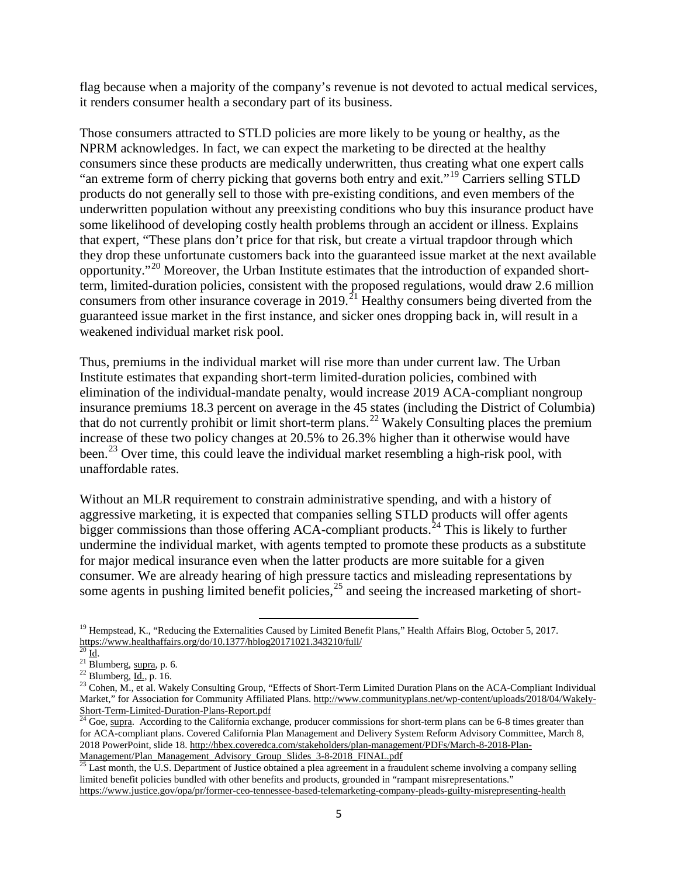flag because when a majority of the company's revenue is not devoted to actual medical services, it renders consumer health a secondary part of its business.

Those consumers attracted to STLD policies are more likely to be young or healthy, as the NPRM acknowledges. In fact, we can expect the marketing to be directed at the healthy consumers since these products are medically underwritten, thus creating what one expert calls "an extreme form of cherry picking that governs both entry and exit."[19](#page-4-0) Carriers selling STLD products do not generally sell to those with pre-existing conditions, and even members of the underwritten population without any preexisting conditions who buy this insurance product have some likelihood of developing costly health problems through an accident or illness. Explains that expert, "These plans don't price for that risk, but create a virtual trapdoor through which they drop these unfortunate customers back into the guaranteed issue market at the next available opportunity."[20](#page-4-1) Moreover, the Urban Institute estimates that the introduction of expanded shortterm, limited-duration policies, consistent with the proposed regulations, would draw 2.6 million consumers from other insurance coverage in 2019.<sup>[21](#page-4-2)</sup> Healthy consumers being diverted from the guaranteed issue market in the first instance, and sicker ones dropping back in, will result in a weakened individual market risk pool.

Thus, premiums in the individual market will rise more than under current law. The Urban Institute estimates that expanding short-term limited-duration policies, combined with elimination of the individual-mandate penalty, would increase 2019 ACA-compliant nongroup insurance premiums 18.3 percent on average in the 45 states (including the District of Columbia) that do not currently prohibit or limit short-term plans.<sup>[22](#page-4-3)</sup> Wakely Consulting places the premium increase of these two policy changes at 20.5% to 26.3% higher than it otherwise would have been.<sup>[23](#page-4-4)</sup> Over time, this could leave the individual market resembling a high-risk pool, with unaffordable rates.

Without an MLR requirement to constrain administrative spending, and with a history of aggressive marketing, it is expected that companies selling STLD products will offer agents bigger commissions than those offering ACA-compliant products.<sup>[24](#page-4-5)</sup> This is likely to further undermine the individual market, with agents tempted to promote these products as a substitute for major medical insurance even when the latter products are more suitable for a given consumer. We are already hearing of high pressure tactics and misleading representations by some agents in pushing limited benefit policies,<sup>[25](#page-4-6)</sup> and seeing the increased marketing of short-

 $\overline{\phantom{a}}$ 

<span id="page-4-0"></span><sup>&</sup>lt;sup>19</sup> Hempstead, K., "Reducing the Externalities Caused by Limited Benefit Plans," Health Affairs Blog, October 5, 2017. <https://www.healthaffairs.org/do/10.1377/hblog20171021.343210/full/><br> $^{20}$  Id.<br><sup>21</sup> Blumberg, supra, p. 6.

<span id="page-4-1"></span>

<span id="page-4-4"></span><span id="page-4-3"></span><span id="page-4-2"></span><sup>&</sup>lt;sup>22</sup> Blumberg,  $\underline{Id}$ , p. 16.<br><sup>23</sup> Cohen, M., et al. Wakely Consulting Group, "Effects of Short-Term Limited Duration Plans on the ACA-Compliant Individual Market," for Association for Community Affiliated Plans[. http://www.communityplans.net/wp-content/uploads/2018/04/Wakely-](http://www.communityplans.net/wp-content/uploads/2018/04/Wakely-Short-Term-Limited-Duration-Plans-Report.pdf) $\frac{\text{Short-Term-Limited-Duration-Plans-Report.pdf}}{^{24} \text{Goe, supra}}$  $\frac{\text{Short-Term-Limited-Duration-Plans-Report.pdf}}{^{24} \text{Goe, supra}}$  $\frac{\text{Short-Term-Limited-Duration-Plans-Report.pdf}}{^{24} \text{Goe, supra}}$ . According to the California exchange, producer commissions for short-term plans can be 6-8 times greater than

<span id="page-4-5"></span>for ACA-compliant plans. Covered California Plan Management and Delivery System Reform Advisory Committee, March 8, 2018 PowerPoint, slide 18[. http://hbex.coveredca.com/stakeholders/plan-management/PDFs/March-8-2018-Plan-](http://hbex.coveredca.com/stakeholders/plan-management/PDFs/March-8-2018-Plan-Management/Plan_Management_Advisory_Group_Slides_3-8-2018_FINAL.pdf)

<span id="page-4-6"></span>[Management/Plan\\_Management\\_Advisory\\_Group\\_Slides\\_3-8-2018\\_FINAL.pdf](http://hbex.coveredca.com/stakeholders/plan-management/PDFs/March-8-2018-Plan-Management/Plan_Management_Advisory_Group_Slides_3-8-2018_FINAL.pdf)<br><sup>25</sup> Last month, the U.S. Department of Justice obtained a plea agreement in a fraudulent scheme involving a company selling limited benefit policies bundled with other benefits and products, grounded in "rampant misrepresentations." <https://www.justice.gov/opa/pr/former-ceo-tennessee-based-telemarketing-company-pleads-guilty-misrepresenting-health>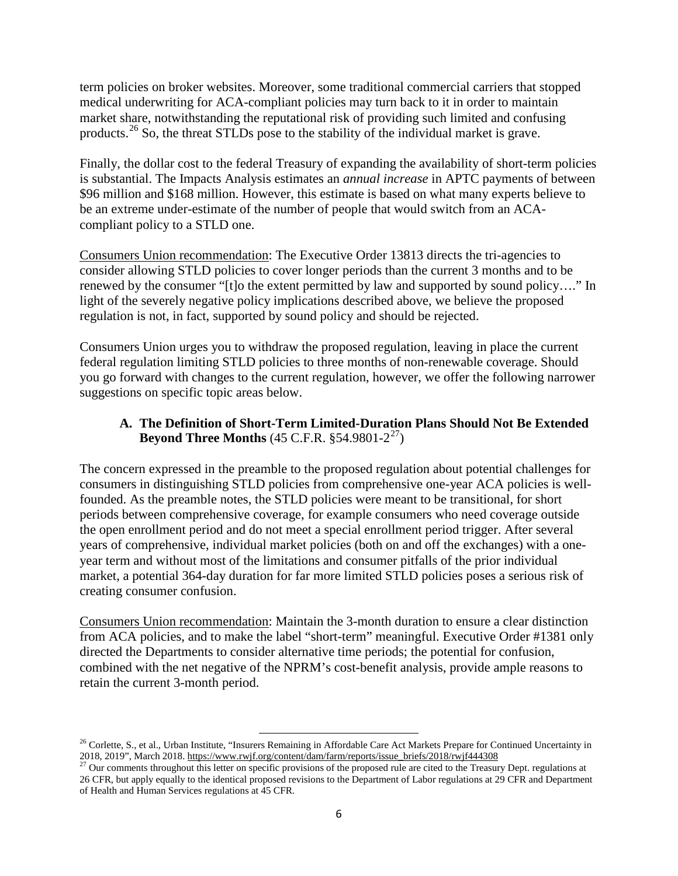term policies on broker websites. Moreover, some traditional commercial carriers that stopped medical underwriting for ACA-compliant policies may turn back to it in order to maintain market share, notwithstanding the reputational risk of providing such limited and confusing products.<sup>[26](#page-5-0)</sup> So, the threat STLDs pose to the stability of the individual market is grave.

Finally, the dollar cost to the federal Treasury of expanding the availability of short-term policies is substantial. The Impacts Analysis estimates an *annual increase* in APTC payments of between \$96 million and \$168 million. However, this estimate is based on what many experts believe to be an extreme under-estimate of the number of people that would switch from an ACAcompliant policy to a STLD one.

Consumers Union recommendation: The Executive Order 13813 directs the tri-agencies to consider allowing STLD policies to cover longer periods than the current 3 months and to be renewed by the consumer "[t]o the extent permitted by law and supported by sound policy…." In light of the severely negative policy implications described above, we believe the proposed regulation is not, in fact, supported by sound policy and should be rejected.

Consumers Union urges you to withdraw the proposed regulation, leaving in place the current federal regulation limiting STLD policies to three months of non-renewable coverage. Should you go forward with changes to the current regulation, however, we offer the following narrower suggestions on specific topic areas below.

### **A. The Definition of Short-Term Limited-Duration Plans Should Not Be Extended Beyond Three Months** (45 C.F.R.  $§$ 54.9801-2<sup>[27](#page-5-1)</sup>)

The concern expressed in the preamble to the proposed regulation about potential challenges for consumers in distinguishing STLD policies from comprehensive one-year ACA policies is wellfounded. As the preamble notes, the STLD policies were meant to be transitional, for short periods between comprehensive coverage, for example consumers who need coverage outside the open enrollment period and do not meet a special enrollment period trigger. After several years of comprehensive, individual market policies (both on and off the exchanges) with a oneyear term and without most of the limitations and consumer pitfalls of the prior individual market, a potential 364-day duration for far more limited STLD policies poses a serious risk of creating consumer confusion.

Consumers Union recommendation: Maintain the 3-month duration to ensure a clear distinction from ACA policies, and to make the label "short-term" meaningful. Executive Order #1381 only directed the Departments to consider alternative time periods; the potential for confusion, combined with the net negative of the NPRM's cost-benefit analysis, provide ample reasons to retain the current 3-month period.

 $\overline{\phantom{a}}$ 

<span id="page-5-0"></span> $^{26}$  Corlette, S., et al., Urban Institute, "Insurers Remaining in Affordable Care Act Markets Prepare for Continued Uncertainty in 2018, 2019", March 2018[. https://www.rwjf.org/content/dam/farm/reports/issue\\_briefs/2018/rwjf444308](https://www.rwjf.org/content/dam/farm/reports/issue_briefs/2018/rwjf444308)<br><sup>27</sup> Our comments throughout this letter on specific provisions of the proposed rule are cited to the Treasury Dept. regul

<span id="page-5-1"></span><sup>26</sup> CFR, but apply equally to the identical proposed revisions to the Department of Labor regulations at 29 CFR and Department of Health and Human Services regulations at 45 CFR.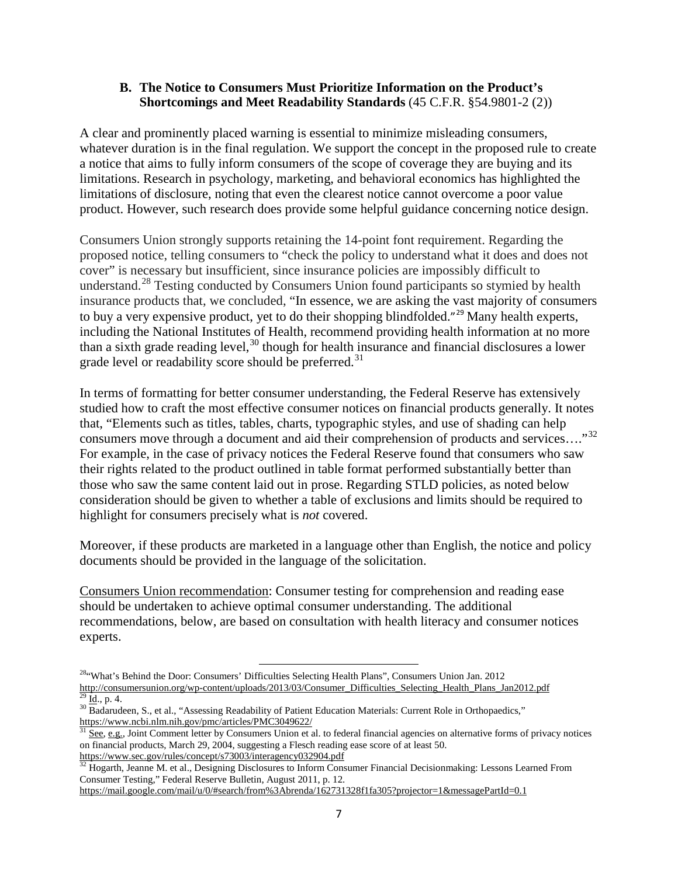#### **B. The Notice to Consumers Must Prioritize Information on the Product's Shortcomings and Meet Readability Standards** (45 C.F.R. §54.9801-2 (2))

A clear and prominently placed warning is essential to minimize misleading consumers, whatever duration is in the final regulation. We support the concept in the proposed rule to create a notice that aims to fully inform consumers of the scope of coverage they are buying and its limitations. Research in psychology, marketing, and behavioral economics has highlighted the limitations of disclosure, noting that even the clearest notice cannot overcome a poor value product. However, such research does provide some helpful guidance concerning notice design.

Consumers Union strongly supports retaining the 14-point font requirement. Regarding the proposed notice, telling consumers to "check the policy to understand what it does and does not cover" is necessary but insufficient, since insurance policies are impossibly difficult to understand.<sup>[28](#page-6-0)</sup> Testing conducted by Consumers Union found participants so stymied by health insurance products that, we concluded, "In essence, we are asking the vast majority of consumers to buy a very expensive product, yet to do their shopping blindfolded."<sup>[29](#page-6-1)</sup> Many health experts, including the National Institutes of Health, recommend providing health information at no more than a sixth grade reading level,  $30$  though for health insurance and financial disclosures a lower grade level or readability score should be preferred.<sup>[31](#page-6-3)</sup>

In terms of formatting for better consumer understanding, the Federal Reserve has extensively studied how to craft the most effective consumer notices on financial products generally. It notes that, "Elements such as titles, tables, charts, typographic styles, and use of shading can help consumers move through a document and aid their comprehension of products and services...."<sup>[32](#page-6-4)</sup> For example, in the case of privacy notices the Federal Reserve found that consumers who saw their rights related to the product outlined in table format performed substantially better than those who saw the same content laid out in prose. Regarding STLD policies, as noted below consideration should be given to whether a table of exclusions and limits should be required to highlight for consumers precisely what is *not* covered.

Moreover, if these products are marketed in a language other than English, the notice and policy documents should be provided in the language of the solicitation.

Consumers Union recommendation: Consumer testing for comprehension and reading ease should be undertaken to achieve optimal consumer understanding. The additional recommendations, below, are based on consultation with health literacy and consumer notices experts.

<span id="page-6-0"></span>l 28"What's Behind the Door: Consumers' Difficulties Selecting Health Plans", Consumers Union Jan. 2012 [http://consumersunion.org/wp-content/uploads/2013/03/Consumer\\_Difficulties\\_Selecting\\_Health\\_Plans\\_Jan2012.pdf](http://consumersunion.org/wp-content/uploads/2013/03/Consumer_Difficulties_Selecting_Health_Plans_Jan2012.pdf)<br> $\frac{29}{29}$  Id., p. 4.<br><sup>30</sup> Badarudeen, S., et al., "Assessing Readability of Patient Education Materials: Curr

<span id="page-6-2"></span><span id="page-6-1"></span><https://www.ncbi.nlm.nih.gov/pmc/articles/PMC3049622/>

<span id="page-6-3"></span><sup>&</sup>lt;sup>1</sup> See, e.g., Joint Comment letter by Consumers Union et al. to federal financial agencies on alternative forms of privacy notices on financial products, March 29, 2004, suggesting a Flesch reading ease score of at least 50. <https://www.sec.gov/rules/concept/s73003/interagency032904.pdf>

<span id="page-6-4"></span> $32$  Hogarth, Jeanne M. et al., Designing Disclosures to Inform Consumer Financial Decisionmaking: Lessons Learned From Consumer Testing," Federal Reserve Bulletin, August 2011, p. 12.

<https://mail.google.com/mail/u/0/#search/from%3Abrenda/162731328f1fa305?projector=1&messagePartId=0.1>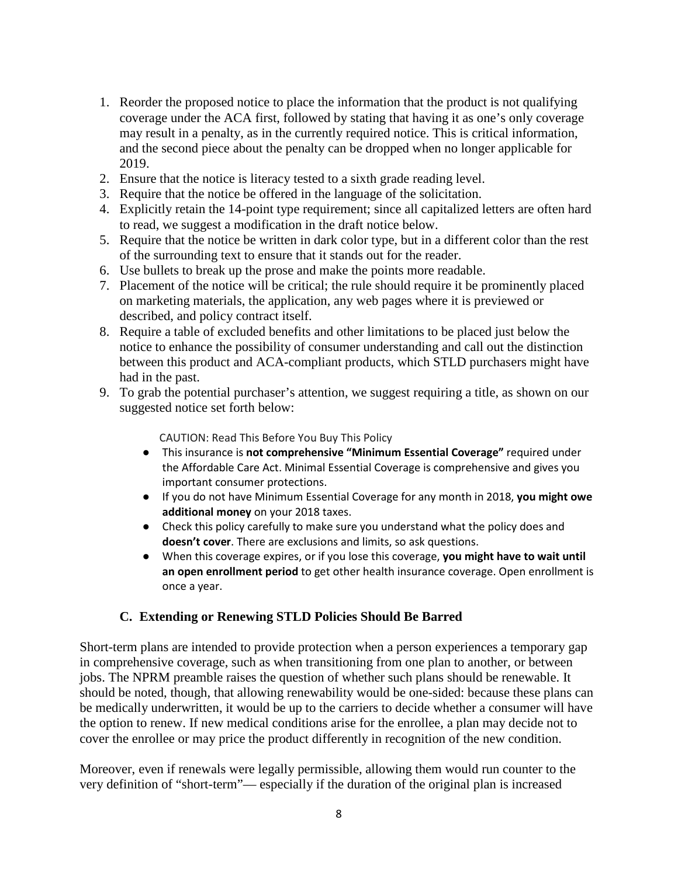- 1. Reorder the proposed notice to place the information that the product is not qualifying coverage under the ACA first, followed by stating that having it as one's only coverage may result in a penalty, as in the currently required notice. This is critical information, and the second piece about the penalty can be dropped when no longer applicable for 2019.
- 2. Ensure that the notice is literacy tested to a sixth grade reading level.
- 3. Require that the notice be offered in the language of the solicitation.
- 4. Explicitly retain the 14-point type requirement; since all capitalized letters are often hard to read, we suggest a modification in the draft notice below.
- 5. Require that the notice be written in dark color type, but in a different color than the rest of the surrounding text to ensure that it stands out for the reader.
- 6. Use bullets to break up the prose and make the points more readable.
- 7. Placement of the notice will be critical; the rule should require it be prominently placed on marketing materials, the application, any web pages where it is previewed or described, and policy contract itself.
- 8. Require a table of excluded benefits and other limitations to be placed just below the notice to enhance the possibility of consumer understanding and call out the distinction between this product and ACA-compliant products, which STLD purchasers might have had in the past.
- 9. To grab the potential purchaser's attention, we suggest requiring a title, as shown on our suggested notice set forth below:

CAUTION: Read This Before You Buy This Policy

- This insurance is **not comprehensive "Minimum Essential Coverage"** required under the Affordable Care Act. Minimal Essential Coverage is comprehensive and gives you important consumer protections.
- If you do not have Minimum Essential Coverage for any month in 2018, **you might owe additional money** on your 2018 taxes.
- Check this policy carefully to make sure you understand what the policy does and **doesn't cover**. There are exclusions and limits, so ask questions.
- When this coverage expires, or if you lose this coverage, **you might have to wait until an open enrollment period** to get other health insurance coverage. Open enrollment is once a year.

#### **C. Extending or Renewing STLD Policies Should Be Barred**

Short-term plans are intended to provide protection when a person experiences a temporary gap in comprehensive coverage, such as when transitioning from one plan to another, or between jobs. The NPRM preamble raises the question of whether such plans should be renewable. It should be noted, though, that allowing renewability would be one-sided: because these plans can be medically underwritten, it would be up to the carriers to decide whether a consumer will have the option to renew. If new medical conditions arise for the enrollee, a plan may decide not to cover the enrollee or may price the product differently in recognition of the new condition.

Moreover, even if renewals were legally permissible, allowing them would run counter to the very definition of "short-term"— especially if the duration of the original plan is increased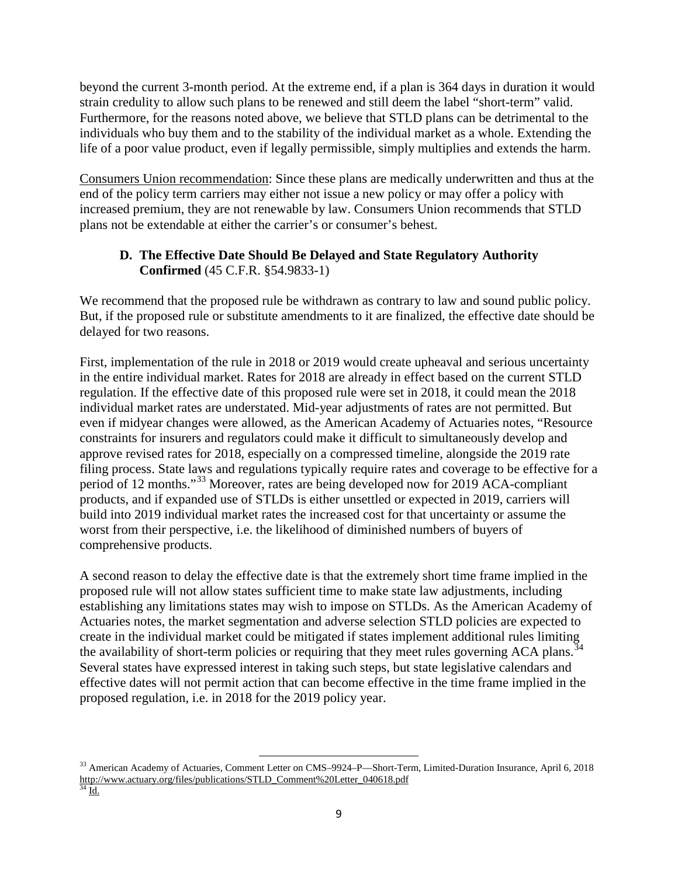beyond the current 3-month period. At the extreme end, if a plan is 364 days in duration it would strain credulity to allow such plans to be renewed and still deem the label "short-term" valid. Furthermore, for the reasons noted above, we believe that STLD plans can be detrimental to the individuals who buy them and to the stability of the individual market as a whole. Extending the life of a poor value product, even if legally permissible, simply multiplies and extends the harm.

Consumers Union recommendation: Since these plans are medically underwritten and thus at the end of the policy term carriers may either not issue a new policy or may offer a policy with increased premium, they are not renewable by law. Consumers Union recommends that STLD plans not be extendable at either the carrier's or consumer's behest.

### **D. The Effective Date Should Be Delayed and State Regulatory Authority Confirmed** (45 C.F.R. §54.9833-1)

We recommend that the proposed rule be withdrawn as contrary to law and sound public policy. But, if the proposed rule or substitute amendments to it are finalized, the effective date should be delayed for two reasons.

First, implementation of the rule in 2018 or 2019 would create upheaval and serious uncertainty in the entire individual market. Rates for 2018 are already in effect based on the current STLD regulation. If the effective date of this proposed rule were set in 2018, it could mean the 2018 individual market rates are understated. Mid-year adjustments of rates are not permitted. But even if midyear changes were allowed, as the American Academy of Actuaries notes, "Resource constraints for insurers and regulators could make it difficult to simultaneously develop and approve revised rates for 2018, especially on a compressed timeline, alongside the 2019 rate filing process. State laws and regulations typically require rates and coverage to be effective for a period of 12 months."[33](#page-8-0) Moreover, rates are being developed now for 2019 ACA-compliant products, and if expanded use of STLDs is either unsettled or expected in 2019, carriers will build into 2019 individual market rates the increased cost for that uncertainty or assume the worst from their perspective, i.e. the likelihood of diminished numbers of buyers of comprehensive products.

A second reason to delay the effective date is that the extremely short time frame implied in the proposed rule will not allow states sufficient time to make state law adjustments, including establishing any limitations states may wish to impose on STLDs. As the American Academy of Actuaries notes, the market segmentation and adverse selection STLD policies are expected to create in the individual market could be mitigated if states implement additional rules limiting the availability of short-term policies or requiring that they meet rules governing ACA plans.<sup>[34](#page-8-1)</sup> Several states have expressed interest in taking such steps, but state legislative calendars and effective dates will not permit action that can become effective in the time frame implied in the proposed regulation, i.e. in 2018 for the 2019 policy year.

<span id="page-8-1"></span><span id="page-8-0"></span> $\overline{\phantom{a}}$ <sup>33</sup> American Academy of Actuaries, Comment Letter on CMS–9924–P—Short-Term, Limited-Duration Insurance, April 6, 2018 [http://www.actuary.org/files/publications/STLD\\_Comment%20Letter\\_040618.pdf](http://www.actuary.org/files/publications/STLD_Comment%20Letter_040618.pdf)